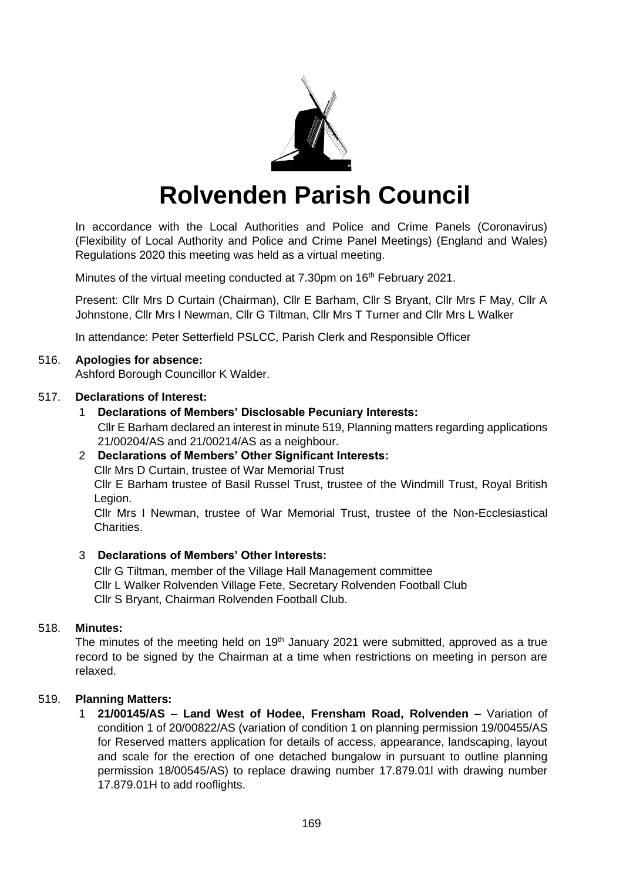

# **Rolvenden Parish Council**

In accordance with the Local Authorities and Police and Crime Panels (Coronavirus) (Flexibility of Local Authority and Police and Crime Panel Meetings) (England and Wales) Regulations 2020 this meeting was held as a virtual meeting.

Minutes of the virtual meeting conducted at 7.30pm on 16<sup>th</sup> February 2021.

Present: Cllr Mrs D Curtain (Chairman), Cllr E Barham, Cllr S Bryant, Cllr Mrs F May, Cllr A Johnstone, Cllr Mrs I Newman, Cllr G Tiltman, Cllr Mrs T Turner and Cllr Mrs L Walker

In attendance: Peter Setterfield PSLCC, Parish Clerk and Responsible Officer

#### 516. **Apologies for absence:**

Ashford Borough Councillor K Walder.

#### 517. **Declarations of Interest:**

1 **Declarations of Members' Disclosable Pecuniary Interests:** Cllr E Barham declared an interest in minute 519, Planning matters regarding applications 21/00204/AS and 21/00214/AS as a neighbour.

## 2 **Declarations of Members' Other Significant Interests:**

Cllr Mrs D Curtain, trustee of War Memorial Trust

Cllr E Barham trustee of Basil Russel Trust, trustee of the Windmill Trust, Royal British Legion.

Cllr Mrs I Newman, trustee of War Memorial Trust, trustee of the Non-Ecclesiastical Charities.

## 3 **Declarations of Members' Other Interests:**

Cllr G Tiltman, member of the Village Hall Management committee Cllr L Walker Rolvenden Village Fete, Secretary Rolvenden Football Club Cllr S Bryant, Chairman Rolvenden Football Club.

## 518. **Minutes:**

The minutes of the meeting held on  $19<sup>th</sup>$  January 2021 were submitted, approved as a true record to be signed by the Chairman at a time when restrictions on meeting in person are relaxed.

## 519. **Planning Matters:**

1 **21/00145/AS – Land West of Hodee, Frensham Road, Rolvenden –** Variation of condition 1 of 20/00822/AS (variation of condition 1 on planning permission 19/00455/AS for Reserved matters application for details of access, appearance, landscaping, layout and scale for the erection of one detached bungalow in pursuant to outline planning permission 18/00545/AS) to replace drawing number 17.879.01l with drawing number 17.879.01H to add rooflights.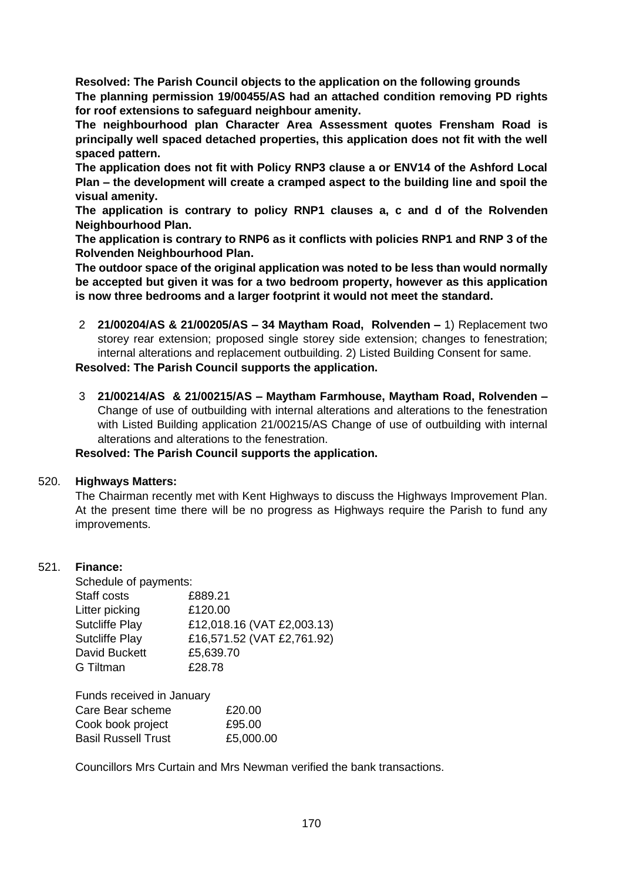**Resolved: The Parish Council objects to the application on the following grounds The planning permission 19/00455/AS had an attached condition removing PD rights for roof extensions to safeguard neighbour amenity.**

**The neighbourhood plan Character Area Assessment quotes Frensham Road is principally well spaced detached properties, this application does not fit with the well spaced pattern.**

**The application does not fit with Policy RNP3 clause a or ENV14 of the Ashford Local Plan – the development will create a cramped aspect to the building line and spoil the visual amenity.**

**The application is contrary to policy RNP1 clauses a, c and d of the Rolvenden Neighbourhood Plan.**

**The application is contrary to RNP6 as it conflicts with policies RNP1 and RNP 3 of the Rolvenden Neighbourhood Plan.**

**The outdoor space of the original application was noted to be less than would normally be accepted but given it was for a two bedroom property, however as this application is now three bedrooms and a larger footprint it would not meet the standard.** 

- 2 **21/00204/AS & 21/00205/AS – 34 Maytham Road, Rolvenden –** 1) Replacement two storey rear extension; proposed single storey side extension; changes to fenestration; internal alterations and replacement outbuilding. 2) Listed Building Consent for same.
- **Resolved: The Parish Council supports the application.**
- 3 **21/00214/AS & 21/00215/AS – Maytham Farmhouse, Maytham Road, Rolvenden –** Change of use of outbuilding with internal alterations and alterations to the fenestration with Listed Building application 21/00215/AS Change of use of outbuilding with internal alterations and alterations to the fenestration.

## **Resolved: The Parish Council supports the application.**

## 520. **Highways Matters:**

The Chairman recently met with Kent Highways to discuss the Highways Improvement Plan. At the present time there will be no progress as Highways require the Parish to fund any improvements.

## 521. **Finance:**

| Schedule of payments: |                            |
|-----------------------|----------------------------|
| Staff costs           | £889.21                    |
| Litter picking        | £120.00                    |
| <b>Sutcliffe Play</b> | £12,018.16 (VAT £2,003.13) |
| Sutcliffe Play        | £16,571.52 (VAT £2,761.92) |
| David Buckett         | £5,639.70                  |
| G Tiltman             | £28.78                     |

| £20.00    |
|-----------|
| £95.00    |
| £5,000.00 |
|           |

Councillors Mrs Curtain and Mrs Newman verified the bank transactions.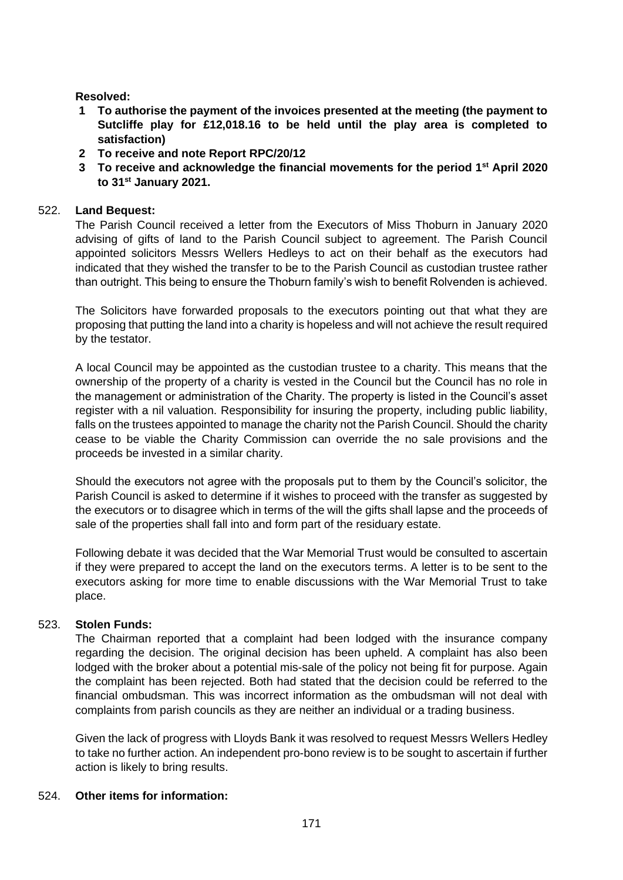## **Resolved:**

- **1 To authorise the payment of the invoices presented at the meeting (the payment to Sutcliffe play for £12,018.16 to be held until the play area is completed to satisfaction)**
- **2 To receive and note Report RPC/20/12**
- **3 To receive and acknowledge the financial movements for the period 1st April 2020 to 31st January 2021.**

#### 522. **Land Bequest:**

The Parish Council received a letter from the Executors of Miss Thoburn in January 2020 advising of gifts of land to the Parish Council subject to agreement. The Parish Council appointed solicitors Messrs Wellers Hedleys to act on their behalf as the executors had indicated that they wished the transfer to be to the Parish Council as custodian trustee rather than outright. This being to ensure the Thoburn family's wish to benefit Rolvenden is achieved.

The Solicitors have forwarded proposals to the executors pointing out that what they are proposing that putting the land into a charity is hopeless and will not achieve the result required by the testator.

A local Council may be appointed as the custodian trustee to a charity. This means that the ownership of the property of a charity is vested in the Council but the Council has no role in the management or administration of the Charity. The property is listed in the Council's asset register with a nil valuation. Responsibility for insuring the property, including public liability, falls on the trustees appointed to manage the charity not the Parish Council. Should the charity cease to be viable the Charity Commission can override the no sale provisions and the proceeds be invested in a similar charity.

Should the executors not agree with the proposals put to them by the Council's solicitor, the Parish Council is asked to determine if it wishes to proceed with the transfer as suggested by the executors or to disagree which in terms of the will the gifts shall lapse and the proceeds of sale of the properties shall fall into and form part of the residuary estate.

Following debate it was decided that the War Memorial Trust would be consulted to ascertain if they were prepared to accept the land on the executors terms. A letter is to be sent to the executors asking for more time to enable discussions with the War Memorial Trust to take place.

#### 523. **Stolen Funds:**

The Chairman reported that a complaint had been lodged with the insurance company regarding the decision. The original decision has been upheld. A complaint has also been lodged with the broker about a potential mis-sale of the policy not being fit for purpose. Again the complaint has been rejected. Both had stated that the decision could be referred to the financial ombudsman. This was incorrect information as the ombudsman will not deal with complaints from parish councils as they are neither an individual or a trading business.

Given the lack of progress with Lloyds Bank it was resolved to request Messrs Wellers Hedley to take no further action. An independent pro-bono review is to be sought to ascertain if further action is likely to bring results.

#### 524. **Other items for information:**